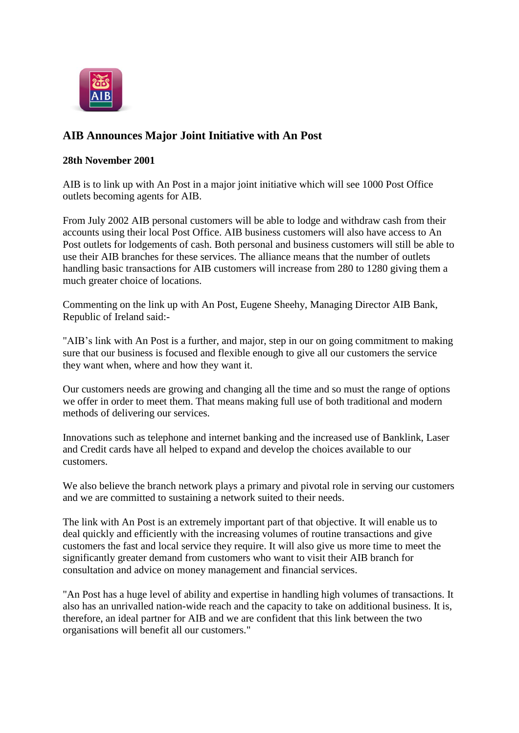

## **AIB Announces Major Joint Initiative with An Post**

## **28th November 2001**

AIB is to link up with An Post in a major joint initiative which will see 1000 Post Office outlets becoming agents for AIB.

From July 2002 AIB personal customers will be able to lodge and withdraw cash from their accounts using their local Post Office. AIB business customers will also have access to An Post outlets for lodgements of cash. Both personal and business customers will still be able to use their AIB branches for these services. The alliance means that the number of outlets handling basic transactions for AIB customers will increase from 280 to 1280 giving them a much greater choice of locations.

Commenting on the link up with An Post, Eugene Sheehy, Managing Director AIB Bank, Republic of Ireland said:-

"AIB's link with An Post is a further, and major, step in our on going commitment to making sure that our business is focused and flexible enough to give all our customers the service they want when, where and how they want it.

Our customers needs are growing and changing all the time and so must the range of options we offer in order to meet them. That means making full use of both traditional and modern methods of delivering our services.

Innovations such as telephone and internet banking and the increased use of Banklink, Laser and Credit cards have all helped to expand and develop the choices available to our customers.

We also believe the branch network plays a primary and pivotal role in serving our customers and we are committed to sustaining a network suited to their needs.

The link with An Post is an extremely important part of that objective. It will enable us to deal quickly and efficiently with the increasing volumes of routine transactions and give customers the fast and local service they require. It will also give us more time to meet the significantly greater demand from customers who want to visit their AIB branch for consultation and advice on money management and financial services.

"An Post has a huge level of ability and expertise in handling high volumes of transactions. It also has an unrivalled nation-wide reach and the capacity to take on additional business. It is, therefore, an ideal partner for AIB and we are confident that this link between the two organisations will benefit all our customers."